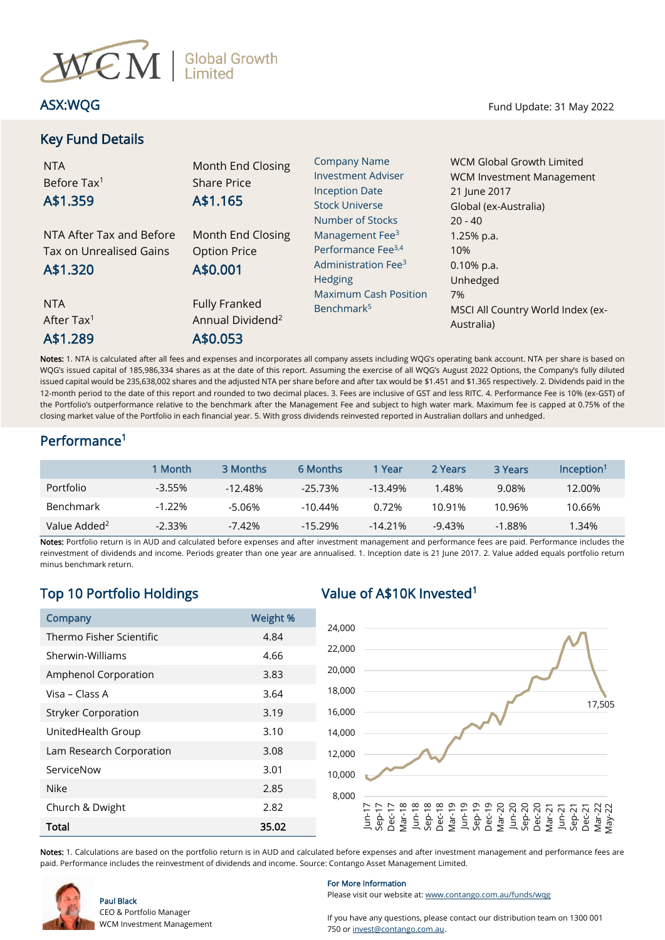

# Key Fund Details

ASX:WQG Fund Update: 31 May 2022

| <b>NTA</b><br>Before Tax <sup>1</sup><br>A\$1.359               | Month End Closing<br><b>Share Price</b><br>A\$1.165              | <b>Company Name</b><br><b>Investment Adviser</b><br><b>Inception Date</b><br><b>Stock Universe</b><br>Number of Stocks | WCM Global Growth Limited<br>WCM Investment Management<br>21 June 2017<br>Global (ex-Australia)<br>$20 - 40$ |
|-----------------------------------------------------------------|------------------------------------------------------------------|------------------------------------------------------------------------------------------------------------------------|--------------------------------------------------------------------------------------------------------------|
| NTA After Tax and Before<br>Tax on Unrealised Gains<br>A\$1.320 | Month End Closing<br><b>Option Price</b><br>A\$0.001             | Management Fee <sup>3</sup><br>Performance Fee <sup>3,4</sup><br>Administration Fee <sup>3</sup><br>Hedging            | $1.25%$ p.a.<br>10%<br>$0.10\%$ p.a.<br>Unhedged                                                             |
| <b>NTA</b><br>After Tax <sup>1</sup><br>A\$1.289                | <b>Fully Franked</b><br>Annual Dividend <sup>2</sup><br>A\$0.053 | <b>Maximum Cash Position</b><br>Benchmark <sup>5</sup>                                                                 | 7%<br>MSCI All Country World Index (ex-<br>Australia)                                                        |

Notes: 1. NTA is calculated after all fees and expenses and incorporates all company assets including WQG's operating bank account. NTA per share is based on WQG's issued capital of 185,986,334 shares as at the date of this report. Assuming the exercise of all WQG's August 2022 Options, the Company's fully diluted issued capital would be 235,638,002 shares and the adjusted NTA per share before and after tax would be \$1.451 and \$1.365 respectively. 2. Dividends paid in the 12-month period to the date of this report and rounded to two decimal places. 3. Fees are inclusive of GST and less RITC. 4. Performance Fee is 10% (ex-GST) of the Portfolio's outperformance relative to the benchmark after the Management Fee and subject to high water mark. Maximum fee is capped at 0.75% of the closing market value of the Portfolio in each financial year. 5. With gross dividends reinvested reported in Australian dollars and unhedged.

# Performance<sup>1</sup>

|                          | 1 Month   | 3 Months   | 6 Months   | 1 Year    | 2 Years  | 3 Years   | Incention <sup>1</sup> |
|--------------------------|-----------|------------|------------|-----------|----------|-----------|------------------------|
| Portfolio                | $-3.55%$  | $-12.48\%$ | $-25.73%$  | $-13.49%$ | l.48%    | 9.08%     | 12.00%                 |
| <b>Benchmark</b>         | $-1.22\%$ | -5.06%     | $-10.44\%$ | 0.72%     | 10.91%   | 10.96%    | 10.66%                 |
| Value Added <sup>2</sup> | $-2.33%$  | $-7.42\%$  | $-15.29%$  | $-14.21%$ | $-9.43%$ | $-1.88\%$ | 34%. ا                 |

Notes: Portfolio return is in AUD and calculated before expenses and after investment management and performance fees are paid. Performance includes the reinvestment of dividends and income. Periods greater than one year are annualised. 1. Inception date is 21 June 2017. 2. Value added equals portfolio return minus benchmark return.

# Top 10 Portfolio Holdings Value of A\$10K Invested<sup>1</sup>

| Company                    | Weight % |
|----------------------------|----------|
| Thermo Fisher Scientific   | 4.84     |
| Sherwin-Williams           | 4.66     |
| Amphenol Corporation       | 3.83     |
| Visa – Class A             | 3.64     |
| <b>Stryker Corporation</b> | 3.19     |
| UnitedHealth Group         | 3.10     |
| Lam Research Corporation   | 3.08     |
| ServiceNow                 | 3.01     |
| <b>Nike</b>                | 2.85     |
| Church & Dwight            | 2.82     |
| Total                      | 35.02    |



Notes: 1. Calculations are based on the portfolio return is in AUD and calculated before expenses and after investment management and performance fees are paid. Performance includes the reinvestment of dividends and income. Source: Contango Asset Management Limited.



Paul Black CEO & Portfolio Manager WCM Investment Management

## For More Information

Please visit our website at[: www.contango.com.au/funds/wqg](file://///192.168.5.184/archive/dc01-contango/WCM%20Global%20Growth%20Limited/Reporting/Monthly%20NTA%20and%20Portfolio%20Report/2021/Redesign%20WQG%20NTA%20drafts/Word%20doc/www.contango.com.au/funds/wqg)

If you have any questions, please contact our distribution team on 1300 001 750 or [invest@contango.com.au.](mailto:invest@contango.com.au)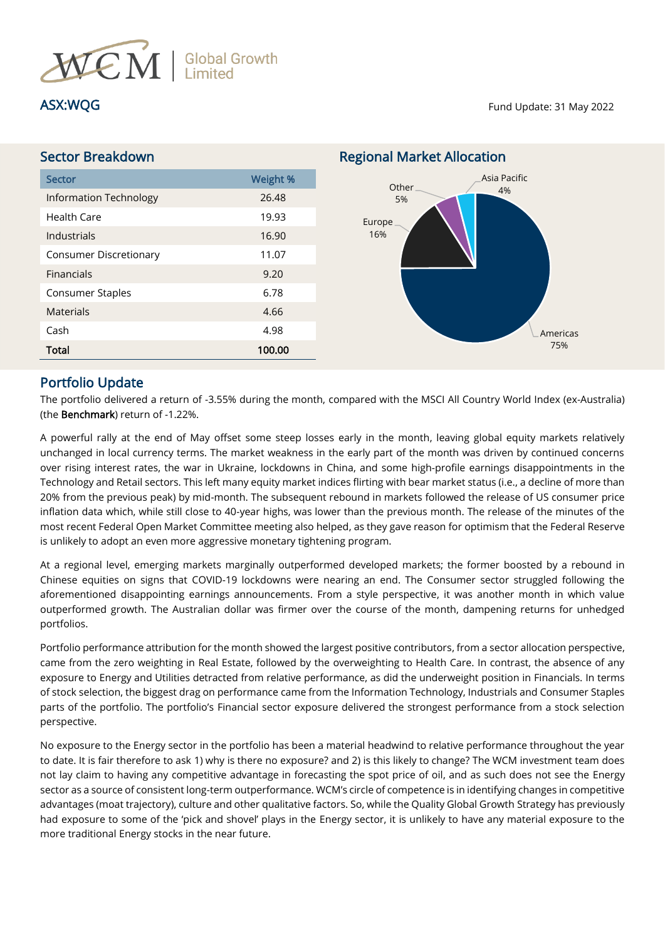

ASX:WQG Fund Update: 31 May 2022

| <b>Sector Breakdown</b>       |          | <b>Regional Market Allocation</b> |
|-------------------------------|----------|-----------------------------------|
| <b>Sector</b>                 | Weight % | Asia Pacific<br>Other             |
| <b>Information Technology</b> | 26.48    | 4%<br>5%                          |
| <b>Health Care</b>            | 19.93    | Europe                            |
| Industrials                   | 16.90    | 16%                               |
| <b>Consumer Discretionary</b> | 11.07    |                                   |
| <b>Financials</b>             | 9.20     |                                   |
| Consumer Staples              | 6.78     |                                   |
| <b>Materials</b>              | 4.66     |                                   |
| Cash                          | 4.98     | Americas                          |
| <b>Total</b>                  | 100.00   | 75%                               |

# Portfolio Update

The portfolio delivered a return of -3.55% during the month, compared with the MSCI All Country World Index (ex-Australia) (the Benchmark) return of -1.22%.

A powerful rally at the end of May offset some steep losses early in the month, leaving global equity markets relatively unchanged in local currency terms. The market weakness in the early part of the month was driven by continued concerns over rising interest rates, the war in Ukraine, lockdowns in China, and some high-profile earnings disappointments in the Technology and Retail sectors. This left many equity market indices flirting with bear market status (i.e., a decline of more than 20% from the previous peak) by mid-month. The subsequent rebound in markets followed the release of US consumer price inflation data which, while still close to 40-year highs, was lower than the previous month. The release of the minutes of the most recent Federal Open Market Committee meeting also helped, as they gave reason for optimism that the Federal Reserve is unlikely to adopt an even more aggressive monetary tightening program.

At a regional level, emerging markets marginally outperformed developed markets; the former boosted by a rebound in Chinese equities on signs that COVID-19 lockdowns were nearing an end. The Consumer sector struggled following the aforementioned disappointing earnings announcements. From a style perspective, it was another month in which value outperformed growth. The Australian dollar was firmer over the course of the month, dampening returns for unhedged portfolios.

Portfolio performance attribution for the month showed the largest positive contributors, from a sector allocation perspective, came from the zero weighting in Real Estate, followed by the overweighting to Health Care. In contrast, the absence of any exposure to Energy and Utilities detracted from relative performance, as did the underweight position in Financials. In terms of stock selection, the biggest drag on performance came from the Information Technology, Industrials and Consumer Staples parts of the portfolio. The portfolio's Financial sector exposure delivered the strongest performance from a stock selection perspective.

No exposure to the Energy sector in the portfolio has been a material headwind to relative performance throughout the year to date. It is fair therefore to ask 1) why is there no exposure? and 2) is this likely to change? The WCM investment team does not lay claim to having any competitive advantage in forecasting the spot price of oil, and as such does not see the Energy sector as a source of consistent long-term outperformance. WCM's circle of competence is in identifying changes in competitive advantages (moat trajectory), culture and other qualitative factors. So, while the Quality Global Growth Strategy has previously had exposure to some of the 'pick and shovel' plays in the Energy sector, it is unlikely to have any material exposure to the more traditional Energy stocks in the near future.